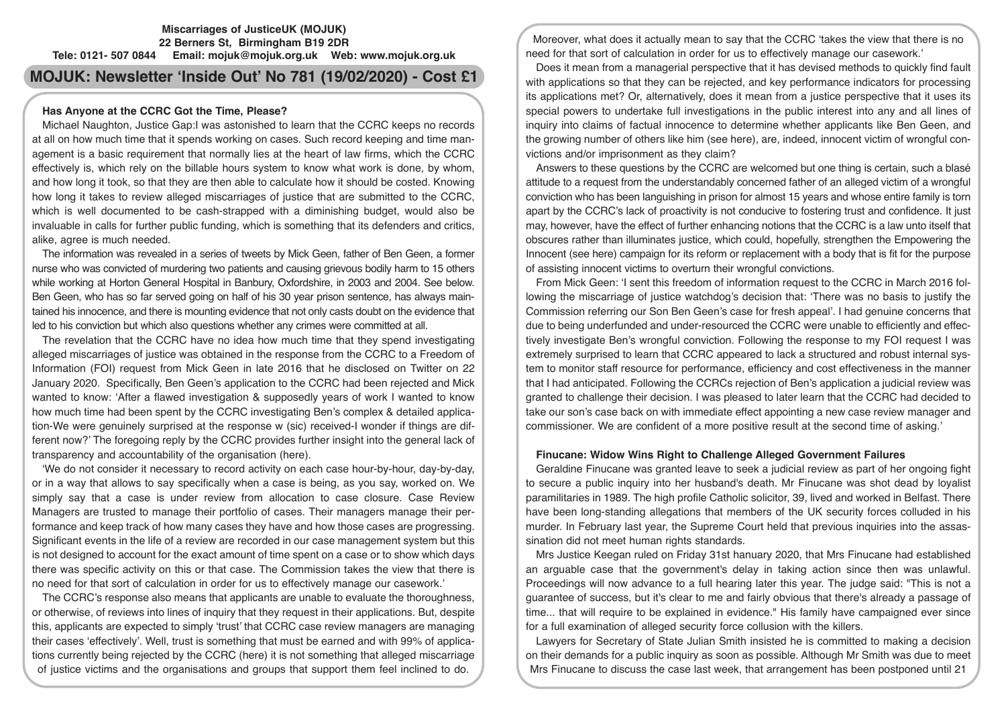## **Miscarriages of JusticeUK (MOJUK) 22 Berners St, Birmingham B19 2DR Tele: 0121- 507 0844 Email: mojuk@mojuk.org.uk Web: www.mojuk.org.uk**

# **MOJUK: Newsletter 'Inside Out' No 781 (19/02/2020) - Cost £1**

### **Has Anyone at the CCRC Got the Time, Please?**

Michael Naughton, Justice Gap:I was astonished to learn that the CCRC keeps no records at all on how much time that it spends working on cases. Such record keeping and time management is a basic requirement that normally lies at the heart of law firms, which the CCRC effectively is, which rely on the billable hours system to know what work is done, by whom, and how long it took, so that they are then able to calculate how it should be costed. Knowing how long it takes to review alleged miscarriages of justice that are submitted to the CCRC, which is well documented to be cash-strapped with a diminishing budget, would also be invaluable in calls for further public funding, which is something that its defenders and critics, alike, agree is much needed.

The information was revealed in a series of tweets by Mick Geen, father of Ben Geen, a former nurse who was convicted of murdering two patients and causing grievous bodily harm to 15 others while working at Horton General Hospital in Banbury, Oxfordshire, in 2003 and 2004. See below. Ben Geen, who has so far served going on half of his 30 year prison sentence, has always maintained his innocence, and there is mounting evidence that not only casts doubt on the evidence that led to his conviction but which also questions whether any crimes were committed at all.

The revelation that the CCRC have no idea how much time that they spend investigating alleged miscarriages of justice was obtained in the response from the CCRC to a Freedom of Information (FOI) request from Mick Geen in late 2016 that he disclosed on Twitter on 22 January 2020. Specifically, Ben Geen's application to the CCRC had been rejected and Mick wanted to know: 'After a flawed investigation & supposedly years of work I wanted to know how much time had been spent by the CCRC investigating Ben's complex & detailed application-We were genuinely surprised at the response w (sic) received-I wonder if things are different now?' The foregoing reply by the CCRC provides further insight into the general lack of transparency and accountability of the organisation (here).

'We do not consider it necessary to record activity on each case hour-by-hour, day-by-day, or in a way that allows to say specifically when a case is being, as you say, worked on. We simply say that a case is under review from allocation to case closure. Case Review Managers are trusted to manage their portfolio of cases. Their managers manage their performance and keep track of how many cases they have and how those cases are progressing. Significant events in the life of a review are recorded in our case management system but this is not designed to account for the exact amount of time spent on a case or to show which days there was specific activity on this or that case. The Commission takes the view that there is no need for that sort of calculation in order for us to effectively manage our casework.'

The CCRC's response also means that applicants are unable to evaluate the thoroughness, or otherwise, of reviews into lines of inquiry that they request in their applications. But, despite this, applicants are expected to simply 'trust' that CCRC case review managers are managing their cases 'effectively'. Well, trust is something that must be earned and with 99% of applications currently being rejected by the CCRC (here) it is not something that alleged miscarriage of justice victims and the organisations and groups that support them feel inclined to do.

Moreover, what does it actually mean to say that the CCRC 'takes the view that there is no need for that sort of calculation in order for us to effectively manage our casework.'

Does it mean from a managerial perspective that it has devised methods to quickly find fault with applications so that they can be rejected, and key performance indicators for processing its applications met? Or, alternatively, does it mean from a justice perspective that it uses its special powers to undertake full investigations in the public interest into any and all lines of inquiry into claims of factual innocence to determine whether applicants like Ben Geen, and the growing number of others like him (see here), are, indeed, innocent victim of wrongful convictions and/or imprisonment as they claim?

Answers to these questions by the CCRC are welcomed but one thing is certain, such a blasé attitude to a request from the understandably concerned father of an alleged victim of a wrongful conviction who has been languishing in prison for almost 15 years and whose entire family is torn apart by the CCRC's lack of proactivity is not conducive to fostering trust and confidence. It just may, however, have the effect of further enhancing notions that the CCRC is a law unto itself that obscures rather than illuminates justice, which could, hopefully, strengthen the Empowering the Innocent (see here) campaign for its reform or replacement with a body that is fit for the purpose of assisting innocent victims to overturn their wrongful convictions.

From Mick Geen: 'I sent this freedom of information request to the CCRC in March 2016 following the miscarriage of justice watchdog's decision that: 'There was no basis to justify the Commission referring our Son Ben Geen's case for fresh appeal'. I had genuine concerns that due to being underfunded and under-resourced the CCRC were unable to efficiently and effectively investigate Ben's wrongful conviction. Following the response to my FOI request I was extremely surprised to learn that CCRC appeared to lack a structured and robust internal system to monitor staff resource for performance, efficiency and cost effectiveness in the manner that I had anticipated. Following the CCRCs rejection of Ben's application a judicial review was granted to challenge their decision. I was pleased to later learn that the CCRC had decided to take our son's case back on with immediate effect appointing a new case review manager and commissioner. We are confident of a more positive result at the second time of asking.'

## **Finucane: Widow Wins Right to Challenge Alleged Government Failures**

Geraldine Finucane was granted leave to seek a judicial review as part of her ongoing fight to secure a public inquiry into her husband's death. Mr Finucane was shot dead by loyalist paramilitaries in 1989. The high profile Catholic solicitor, 39, lived and worked in Belfast. There have been long-standing allegations that members of the UK security forces colluded in his murder. In February last year, the Supreme Court held that previous inquiries into the assassination did not meet human rights standards.

Mrs Justice Keegan ruled on Friday 31st hanuary 2020, that Mrs Finucane had established an arguable case that the government's delay in taking action since then was unlawful. Proceedings will now advance to a full hearing later this year. The judge said: "This is not a guarantee of success, but it's clear to me and fairly obvious that there's already a passage of time... that will require to be explained in evidence." His family have campaigned ever since for a full examination of alleged security force collusion with the killers.

Lawyers for Secretary of State Julian Smith insisted he is committed to making a decision on their demands for a public inquiry as soon as possible. Although Mr Smith was due to meet Mrs Finucane to discuss the case last week, that arrangement has been postponed until 21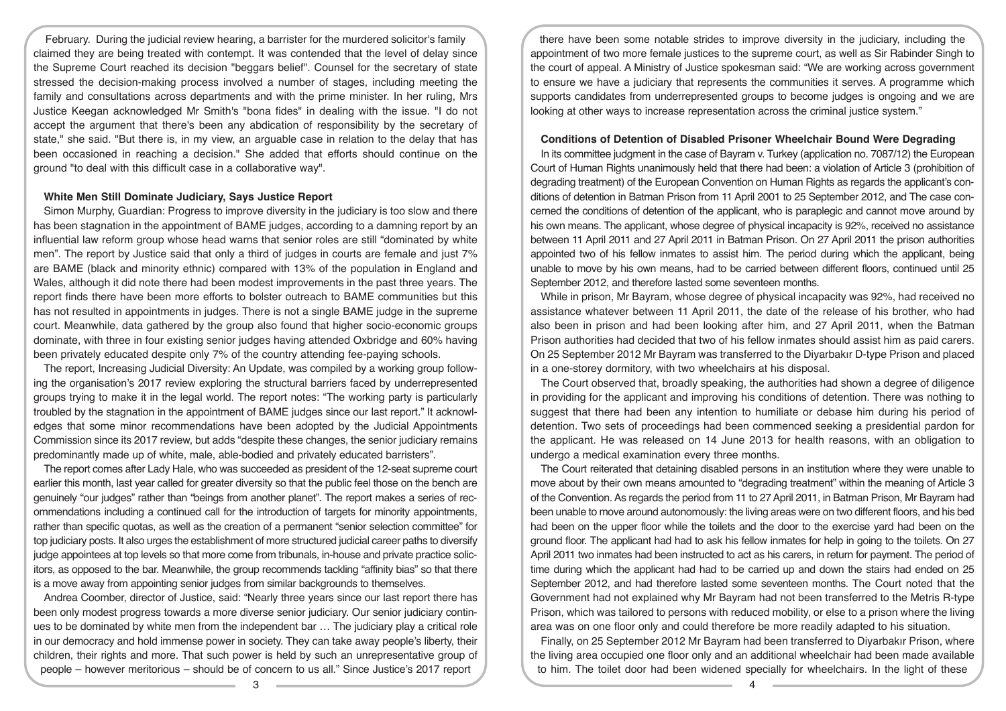February. During the judicial review hearing, a barrister for the murdered solicitor's family claimed they are being treated with contempt. It was contended that the level of delay since the Supreme Court reached its decision "beggars belief". Counsel for the secretary of state stressed the decision-making process involved a number of stages, including meeting the family and consultations across departments and with the prime minister. In her ruling, Mrs Justice Keegan acknowledged Mr Smith's "bona fides" in dealing with the issue. "I do not accept the argument that there's been any abdication of responsibility by the secretary of state," she said. "But there is, in my view, an arguable case in relation to the delay that has been occasioned in reaching a decision." She added that efforts should continue on the ground "to deal with this difficult case in a collaborative way".

#### **White Men Still Dominate Judiciary, Says Justice Report**

Simon Murphy, Guardian: Progress to improve diversity in the judiciary is too slow and there has been stagnation in the appointment of BAME judges, according to a damning report by an influential law reform group whose head warns that senior roles are still "dominated by white men". The report by Justice said that only a third of judges in courts are female and just 7% are BAME (black and minority ethnic) compared with 13% of the population in England and Wales, although it did note there had been modest improvements in the past three years. The report finds there have been more efforts to bolster outreach to BAME communities but this has not resulted in appointments in judges. There is not a single BAME judge in the supreme court. Meanwhile, data gathered by the group also found that higher socio-economic groups dominate, with three in four existing senior judges having attended Oxbridge and 60% having been privately educated despite only 7% of the country attending fee-paying schools.

The report, Increasing Judicial Diversity: An Update, was compiled by a working group following the organisation's 2017 review exploring the structural barriers faced by underrepresented groups trying to make it in the legal world. The report notes: "The working party is particularly troubled by the stagnation in the appointment of BAME judges since our last report." It acknowledges that some minor recommendations have been adopted by the Judicial Appointments Commission since its 2017 review, but adds "despite these changes, the senior judiciary remains predominantly made up of white, male, able-bodied and privately educated barristers".

The report comes after Lady Hale, who was succeeded as president of the 12-seat supreme court earlier this month, last year called for greater diversity so that the public feel those on the bench are genuinely "our judges" rather than "beings from another planet". The report makes a series of recommendations including a continued call for the introduction of targets for minority appointments, rather than specific quotas, as well as the creation of a permanent "senior selection committee" for top judiciary posts. It also urges the establishment of more structured judicial career paths to diversify judge appointees at top levels so that more come from tribunals, in-house and private practice solicitors, as opposed to the bar. Meanwhile, the group recommends tackling "affinity bias" so that there is a move away from appointing senior judges from similar backgrounds to themselves.

Andrea Coomber, director of Justice, said: "Nearly three years since our last report there has been only modest progress towards a more diverse senior judiciary. Our senior judiciary continues to be dominated by white men from the independent bar … The judiciary play a critical role in our democracy and hold immense power in society. They can take away people's liberty, their children, their rights and more. That such power is held by such an unrepresentative group of people – however meritorious – should be of concern to us all." Since Justice's 2017 report

there have been some notable strides to improve diversity in the judiciary, including the appointment of two more female justices to the supreme court, as well as Sir Rabinder Singh to the court of appeal. A Ministry of Justice spokesman said: "We are working across government to ensure we have a judiciary that represents the communities it serves. A programme which supports candidates from underrepresented groups to become judges is ongoing and we are looking at other ways to increase representation across the criminal justice system."

#### **Conditions of Detention of Disabled Prisoner Wheelchair Bound Were Degrading**

In its committee judgment in the case of Bayram v. Turkey (application no. 7087/12) the European Court of Human Rights unanimously held that there had been: a violation of Article 3 (prohibition of degrading treatment) of the European Convention on Human Rights as regards the applicant's conditions of detention in Batman Prison from 11 April 2001 to 25 September 2012, and The case concerned the conditions of detention of the applicant, who is paraplegic and cannot move around by his own means. The applicant, whose degree of physical incapacity is 92%, received no assistance between 11 April 2011 and 27 April 2011 in Batman Prison. On 27 April 2011 the prison authorities appointed two of his fellow inmates to assist him. The period during which the applicant, being unable to move by his own means, had to be carried between different floors, continued until 25 September 2012, and therefore lasted some seventeen months.

While in prison, Mr Bayram, whose degree of physical incapacity was 92%, had received no assistance whatever between 11 April 2011, the date of the release of his brother, who had also been in prison and had been looking after him, and 27 April 2011, when the Batman Prison authorities had decided that two of his fellow inmates should assist him as paid carers. On 25 September 2012 Mr Bayram was transferred to the Diyarbakır D-type Prison and placed in a one-storey dormitory, with two wheelchairs at his disposal.

The Court observed that, broadly speaking, the authorities had shown a degree of diligence in providing for the applicant and improving his conditions of detention. There was nothing to suggest that there had been any intention to humiliate or debase him during his period of detention. Two sets of proceedings had been commenced seeking a presidential pardon for the applicant. He was released on 14 June 2013 for health reasons, with an obligation to undergo a medical examination every three months.

The Court reiterated that detaining disabled persons in an institution where they were unable to move about by their own means amounted to "degrading treatment" within the meaning of Article 3 of the Convention. As regards the period from 11 to 27 April 2011, in Batman Prison, Mr Bayram had been unable to move around autonomously: the living areas were on two different floors, and his bed had been on the upper floor while the toilets and the door to the exercise yard had been on the ground floor. The applicant had had to ask his fellow inmates for help in going to the toilets. On 27 April 2011 two inmates had been instructed to act as his carers, in return for payment. The period of time during which the applicant had had to be carried up and down the stairs had ended on 25 September 2012, and had therefore lasted some seventeen months. The Court noted that the Government had not explained why Mr Bayram had not been transferred to the Metris R-type Prison, which was tailored to persons with reduced mobility, or else to a prison where the living area was on one floor only and could therefore be more readily adapted to his situation.

Finally, on 25 September 2012 Mr Bayram had been transferred to Diyarbakır Prison, where the living area occupied one floor only and an additional wheelchair had been made available to him. The toilet door had been widened specially for wheelchairs. In the light of these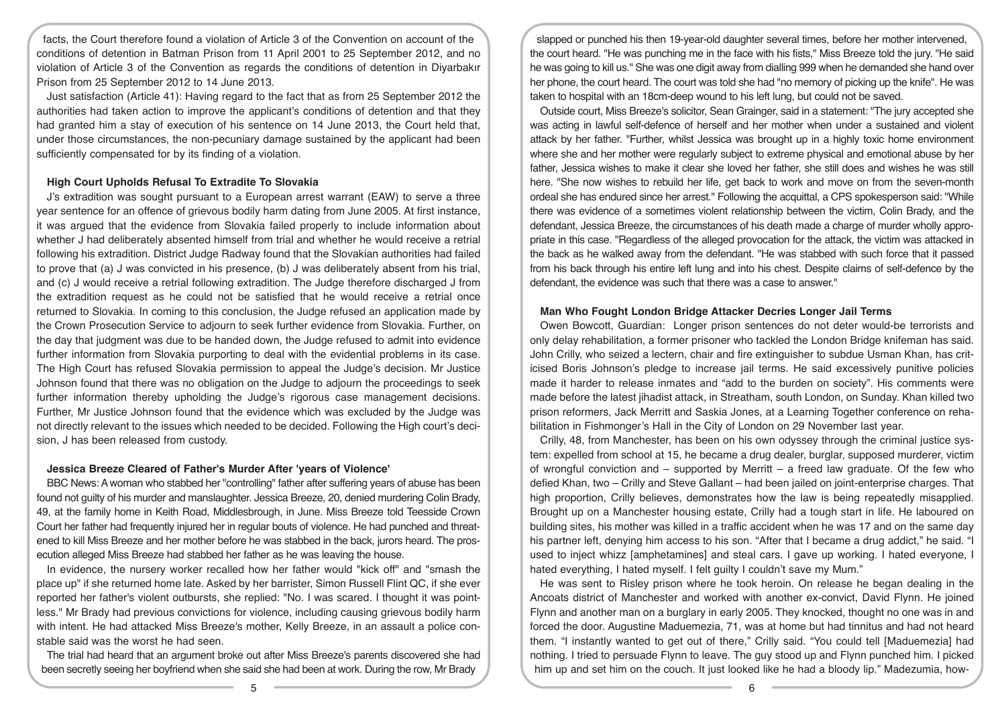facts, the Court therefore found a violation of Article 3 of the Convention on account of the conditions of detention in Batman Prison from 11 April 2001 to 25 September 2012, and no violation of Article 3 of the Convention as regards the conditions of detention in Diyarbakır Prison from 25 September 2012 to 14 June 2013.

Just satisfaction (Article 41): Having regard to the fact that as from 25 September 2012 the authorities had taken action to improve the applicant's conditions of detention and that they had granted him a stay of execution of his sentence on 14 June 2013, the Court held that, under those circumstances, the non-pecuniary damage sustained by the applicant had been sufficiently compensated for by its finding of a violation.

## **High Court Upholds Refusal To Extradite To Slovakia**

J's extradition was sought pursuant to a European arrest warrant (EAW) to serve a three year sentence for an offence of grievous bodily harm dating from June 2005. At first instance, it was argued that the evidence from Slovakia failed properly to include information about whether J had deliberately absented himself from trial and whether he would receive a retrial following his extradition. District Judge Radway found that the Slovakian authorities had failed to prove that (a) J was convicted in his presence, (b) J was deliberately absent from his trial, and (c) J would receive a retrial following extradition. The Judge therefore discharged J from the extradition request as he could not be satisfied that he would receive a retrial once returned to Slovakia. In coming to this conclusion, the Judge refused an application made by the Crown Prosecution Service to adjourn to seek further evidence from Slovakia. Further, on the day that judgment was due to be handed down, the Judge refused to admit into evidence further information from Slovakia purporting to deal with the evidential problems in its case. The High Court has refused Slovakia permission to appeal the Judge's decision. Mr Justice Johnson found that there was no obligation on the Judge to adjourn the proceedings to seek further information thereby upholding the Judge's rigorous case management decisions. Further, Mr Justice Johnson found that the evidence which was excluded by the Judge was not directly relevant to the issues which needed to be decided. Following the High court's decision, J has been released from custody.

## **Jessica Breeze Cleared of Father's Murder After 'years of Violence'**

BBC News: A woman who stabbed her "controlling" father after suffering years of abuse has been found not guilty of his murder and manslaughter. Jessica Breeze, 20, denied murdering Colin Brady, 49, at the family home in Keith Road, Middlesbrough, in June. Miss Breeze told Teesside Crown Court her father had frequently injured her in regular bouts of violence. He had punched and threatened to kill Miss Breeze and her mother before he was stabbed in the back, jurors heard. The prosecution alleged Miss Breeze had stabbed her father as he was leaving the house.

In evidence, the nursery worker recalled how her father would "kick off" and "smash the place up" if she returned home late. Asked by her barrister, Simon Russell Flint QC, if she ever reported her father's violent outbursts, she replied: "No. I was scared. I thought it was pointless." Mr Brady had previous convictions for violence, including causing grievous bodily harm with intent. He had attacked Miss Breeze's mother, Kelly Breeze, in an assault a police constable said was the worst he had seen.

The trial had heard that an argument broke out after Miss Breeze's parents discovered she had been secretly seeing her boyfriend when she said she had been at work. During the row, Mr Brady

slapped or punched his then 19-year-old daughter several times, before her mother intervened, the court heard. "He was punching me in the face with his fists," Miss Breeze told the jury. "He said he was going to kill us." She was one digit away from dialling 999 when he demanded she hand over her phone, the court heard. The court was told she had "no memory of picking up the knife". He was taken to hospital with an 18cm-deep wound to his left lung, but could not be saved.

Outside court, Miss Breeze's solicitor, Sean Grainger, said in a statement: "The jury accepted she was acting in lawful self-defence of herself and her mother when under a sustained and violent attack by her father. "Further, whilst Jessica was brought up in a highly toxic home environment where she and her mother were regularly subject to extreme physical and emotional abuse by her father, Jessica wishes to make it clear she loved her father, she still does and wishes he was still here. "She now wishes to rebuild her life, get back to work and move on from the seven-month ordeal she has endured since her arrest." Following the acquittal, a CPS spokesperson said: "While there was evidence of a sometimes violent relationship between the victim, Colin Brady, and the defendant, Jessica Breeze, the circumstances of his death made a charge of murder wholly appropriate in this case. "Regardless of the alleged provocation for the attack, the victim was attacked in the back as he walked away from the defendant. "He was stabbed with such force that it passed from his back through his entire left lung and into his chest. Despite claims of self-defence by the defendant, the evidence was such that there was a case to answer."

#### **Man Who Fought London Bridge Attacker Decries Longer Jail Terms**

Owen Bowcott, Guardian: Longer prison sentences do not deter would-be terrorists and only delay rehabilitation, a former prisoner who tackled the London Bridge knifeman has said. John Crilly, who seized a lectern, chair and fire extinguisher to subdue Usman Khan, has criticised Boris Johnson's pledge to increase jail terms. He said excessively punitive policies made it harder to release inmates and "add to the burden on society". His comments were made before the latest jihadist attack, in Streatham, south London, on Sunday. Khan killed two prison reformers, Jack Merritt and Saskia Jones, at a Learning Together conference on rehabilitation in Fishmonger's Hall in the City of London on 29 November last year.

Crilly, 48, from Manchester, has been on his own odyssey through the criminal justice system: expelled from school at 15, he became a drug dealer, burglar, supposed murderer, victim of wrongful conviction and  $-$  supported by Merritt  $-$  a freed law graduate. Of the few who defied Khan, two – Crilly and Steve Gallant – had been jailed on joint-enterprise charges. That high proportion, Crilly believes, demonstrates how the law is being repeatedly misapplied. Brought up on a Manchester housing estate, Crilly had a tough start in life. He laboured on building sites, his mother was killed in a traffic accident when he was 17 and on the same day his partner left, denying him access to his son. "After that I became a drug addict," he said. "I used to inject whizz [amphetamines] and steal cars. I gave up working. I hated everyone, I hated everything, I hated myself. I felt guilty I couldn't save my Mum."

He was sent to Risley prison where he took heroin. On release he began dealing in the Ancoats district of Manchester and worked with another ex-convict, David Flynn. He joined Flynn and another man on a burglary in early 2005. They knocked, thought no one was in and forced the door. Augustine Maduemezia, 71, was at home but had tinnitus and had not heard them. "I instantly wanted to get out of there," Crilly said. "You could tell [Maduemezia] had nothing. I tried to persuade Flynn to leave. The guy stood up and Flynn punched him. I picked him up and set him on the couch. It just looked like he had a bloody lip." Madezumia, how-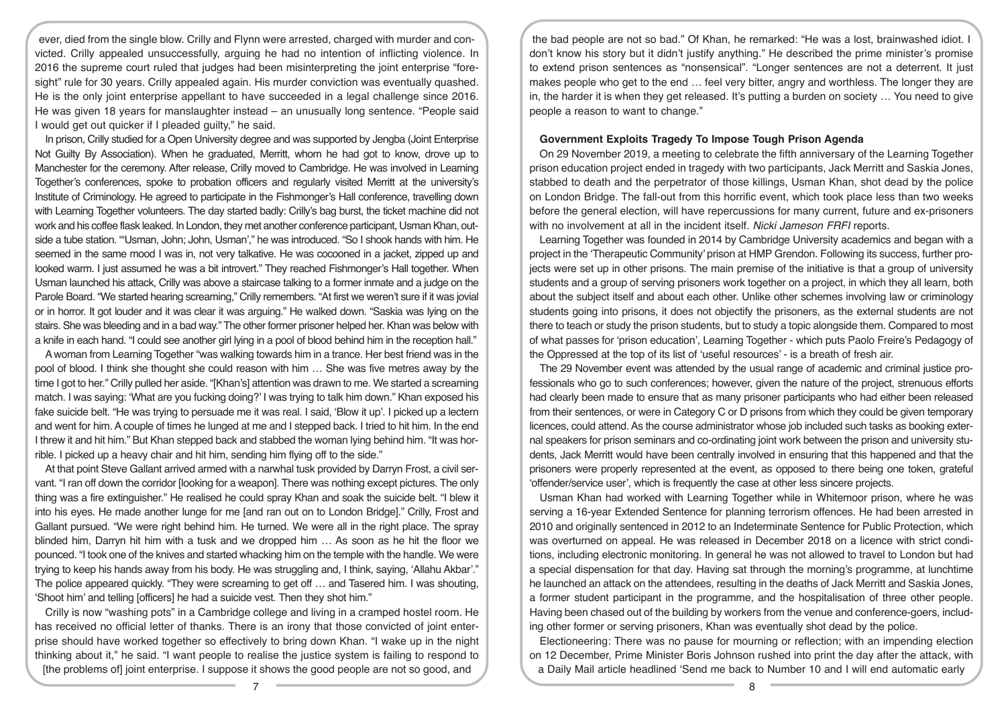ever, died from the single blow. Crilly and Flynn were arrested, charged with murder and convicted. Crilly appealed unsuccessfully, arguing he had no intention of inflicting violence. In 2016 the supreme court ruled that judges had been misinterpreting the joint enterprise "foresight" rule for 30 years. Crilly appealed again. His murder conviction was eventually quashed. He is the only joint enterprise appellant to have succeeded in a legal challenge since 2016. He was given 18 years for manslaughter instead – an unusually long sentence. "People said I would get out quicker if I pleaded guilty," he said.

In prison, Crilly studied for a Open University degree and was supported by Jengba (Joint Enterprise Not Guilty By Association). When he graduated, Merritt, whom he had got to know, drove up to Manchester for the ceremony. After release, Crilly moved to Cambridge. He was involved in Learning Together's conferences, spoke to probation officers and regularly visited Merritt at the university's Institute of Criminology. He agreed to participate in the Fishmonger's Hall conference, travelling down with Learning Together volunteers. The day started badly: Crilly's bag burst, the ticket machine did not work and his coffee flask leaked. In London, they met another conference participant, Usman Khan, outside a tube station. "'Usman, John; John, Usman'," he was introduced. "So I shook hands with him. He seemed in the same mood I was in, not very talkative. He was cocooned in a jacket, zipped up and looked warm. I just assumed he was a bit introvert." They reached Fishmonger's Hall together. When Usman launched his attack, Crilly was above a staircase talking to a former inmate and a judge on the Parole Board. "We started hearing screaming," Crilly remembers. "At first we weren't sure if it was jovial or in horror. It got louder and it was clear it was arguing." He walked down. "Saskia was lying on the stairs. She was bleeding and in a bad way." The other former prisoner helped her. Khan was below with a knife in each hand. "I could see another girl lying in a pool of blood behind him in the reception hall."

A woman from Learning Together "was walking towards him in a trance. Her best friend was in the pool of blood. I think she thought she could reason with him … She was five metres away by the time I got to her." Crilly pulled her aside. "[Khan's] attention was drawn to me. We started a screaming match. I was saying: 'What are you fucking doing?' I was trying to talk him down." Khan exposed his fake suicide belt. "He was trying to persuade me it was real. I said, 'Blow it up'. I picked up a lectern and went for him. A couple of times he lunged at me and I stepped back. I tried to hit him. In the end I threw it and hit him." But Khan stepped back and stabbed the woman lying behind him. "It was horrible. I picked up a heavy chair and hit him, sending him flying off to the side."

At that point Steve Gallant arrived armed with a narwhal tusk provided by Darryn Frost, a civil servant. "I ran off down the corridor [looking for a weapon]. There was nothing except pictures. The only thing was a fire extinguisher." He realised he could spray Khan and soak the suicide belt. "I blew it into his eyes. He made another lunge for me [and ran out on to London Bridge]." Crilly, Frost and Gallant pursued. "We were right behind him. He turned. We were all in the right place. The spray blinded him, Darryn hit him with a tusk and we dropped him … As soon as he hit the floor we pounced. "I took one of the knives and started whacking him on the temple with the handle. We were trying to keep his hands away from his body. He was struggling and, I think, saying, 'Allahu Akbar'." The police appeared quickly. "They were screaming to get off … and Tasered him. I was shouting, 'Shoot him' and telling [officers] he had a suicide vest. Then they shot him."

Crilly is now "washing pots" in a Cambridge college and living in a cramped hostel room. He has received no official letter of thanks. There is an irony that those convicted of joint enterprise should have worked together so effectively to bring down Khan. "I wake up in the night thinking about it," he said. "I want people to realise the justice system is failing to respond to [the problems of] joint enterprise. I suppose it shows the good people are not so good, and

the bad people are not so bad." Of Khan, he remarked: "He was a lost, brainwashed idiot. I don't know his story but it didn't justify anything." He described the prime minister's promise to extend prison sentences as "nonsensical". "Longer sentences are not a deterrent. It just makes people who get to the end … feel very bitter, angry and worthless. The longer they are in, the harder it is when they get released. It's putting a burden on society … You need to give people a reason to want to change."

#### **Government Exploits Tragedy To Impose Tough Prison Agenda**

On 29 November 2019, a meeting to celebrate the fifth anniversary of the Learning Together prison education project ended in tragedy with two participants, Jack Merritt and Saskia Jones, stabbed to death and the perpetrator of those killings, Usman Khan, shot dead by the police on London Bridge. The fall-out from this horrific event, which took place less than two weeks before the general election, will have repercussions for many current, future and ex-prisoners with no involvement at all in the incident itself. *Nicki Jameson FRFI* reports.

Learning Together was founded in 2014 by Cambridge University academics and began with a project in the 'Therapeutic Community' prison at HMP Grendon. Following its success, further projects were set up in other prisons. The main premise of the initiative is that a group of university students and a group of serving prisoners work together on a project, in which they all learn, both about the subject itself and about each other. Unlike other schemes involving law or criminology students going into prisons, it does not objectify the prisoners, as the external students are not there to teach or study the prison students, but to study a topic alongside them. Compared to most of what passes for 'prison education', Learning Together - which puts Paolo Freire's Pedagogy of the Oppressed at the top of its list of 'useful resources' - is a breath of fresh air.

The 29 November event was attended by the usual range of academic and criminal justice professionals who go to such conferences; however, given the nature of the project, strenuous efforts had clearly been made to ensure that as many prisoner participants who had either been released from their sentences, or were in Category C or D prisons from which they could be given temporary licences, could attend. As the course administrator whose job included such tasks as booking external speakers for prison seminars and co-ordinating joint work between the prison and university students, Jack Merritt would have been centrally involved in ensuring that this happened and that the prisoners were properly represented at the event, as opposed to there being one token, grateful 'offender/service user', which is frequently the case at other less sincere projects.

Usman Khan had worked with Learning Together while in Whitemoor prison, where he was serving a 16-year Extended Sentence for planning terrorism offences. He had been arrested in 2010 and originally sentenced in 2012 to an Indeterminate Sentence for Public Protection, which was overturned on appeal. He was released in December 2018 on a licence with strict conditions, including electronic monitoring. In general he was not allowed to travel to London but had a special dispensation for that day. Having sat through the morning's programme, at lunchtime he launched an attack on the attendees, resulting in the deaths of Jack Merritt and Saskia Jones, a former student participant in the programme, and the hospitalisation of three other people. Having been chased out of the building by workers from the venue and conference-goers, including other former or serving prisoners, Khan was eventually shot dead by the police.

Electioneering: There was no pause for mourning or reflection; with an impending election on 12 December, Prime Minister Boris Johnson rushed into print the day after the attack, with a Daily Mail article headlined 'Send me back to Number 10 and I will end automatic early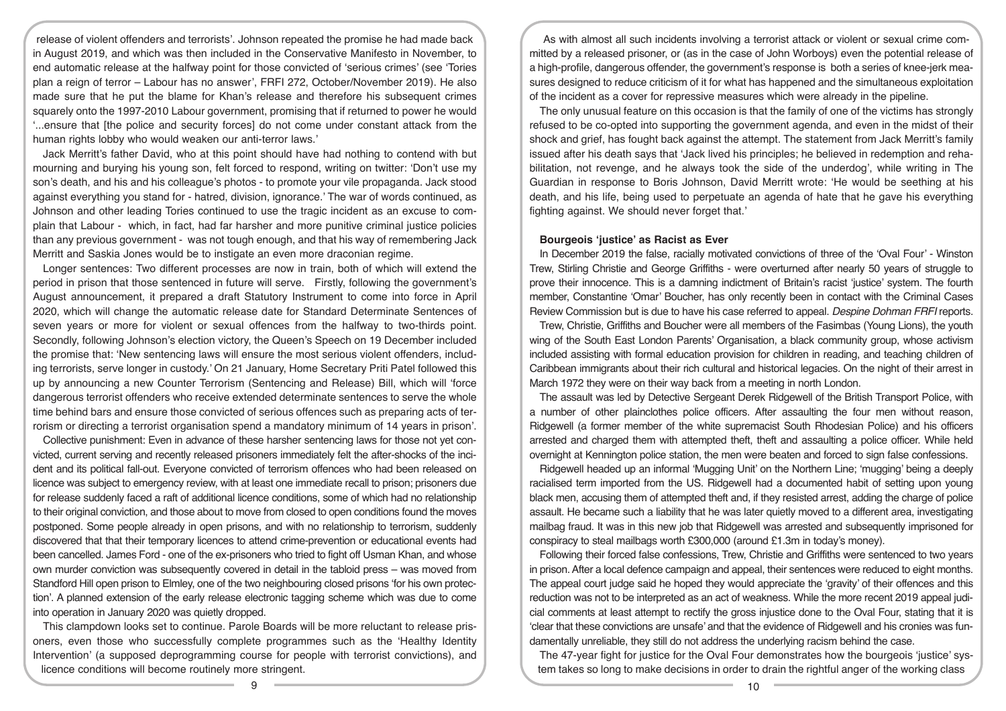release of violent offenders and terrorists'. Johnson repeated the promise he had made back in August 2019, and which was then included in the Conservative Manifesto in November, to end automatic release at the halfway point for those convicted of 'serious crimes' (see 'Tories plan a reign of terror – Labour has no answer', FRFI 272, October/November 2019). He also made sure that he put the blame for Khan's release and therefore his subsequent crimes squarely onto the 1997-2010 Labour government, promising that if returned to power he would '...ensure that [the police and security forces] do not come under constant attack from the human rights lobby who would weaken our anti-terror laws.'

Jack Merritt's father David, who at this point should have had nothing to contend with but mourning and burying his young son, felt forced to respond, writing on twitter: 'Don't use my son's death, and his and his colleague's photos - to promote your vile propaganda. Jack stood against everything you stand for - hatred, division, ignorance.' The war of words continued, as Johnson and other leading Tories continued to use the tragic incident as an excuse to complain that Labour - which, in fact, had far harsher and more punitive criminal justice policies than any previous government - was not tough enough, and that his way of remembering Jack Merritt and Saskia Jones would be to instigate an even more draconian regime.

Longer sentences: Two different processes are now in train, both of which will extend the period in prison that those sentenced in future will serve. Firstly, following the government's August announcement, it prepared a draft Statutory Instrument to come into force in April 2020, which will change the automatic release date for Standard Determinate Sentences of seven years or more for violent or sexual offences from the halfway to two-thirds point. Secondly, following Johnson's election victory, the Queen's Speech on 19 December included the promise that: 'New sentencing laws will ensure the most serious violent offenders, including terrorists, serve longer in custody.' On 21 January, Home Secretary Priti Patel followed this up by announcing a new Counter Terrorism (Sentencing and Release) Bill, which will 'force dangerous terrorist offenders who receive extended determinate sentences to serve the whole time behind bars and ensure those convicted of serious offences such as preparing acts of terrorism or directing a terrorist organisation spend a mandatory minimum of 14 years in prison'.

Collective punishment: Even in advance of these harsher sentencing laws for those not yet convicted, current serving and recently released prisoners immediately felt the after-shocks of the incident and its political fall-out. Everyone convicted of terrorism offences who had been released on licence was subject to emergency review, with at least one immediate recall to prison; prisoners due for release suddenly faced a raft of additional licence conditions, some of which had no relationship to their original conviction, and those about to move from closed to open conditions found the moves postponed. Some people already in open prisons, and with no relationship to terrorism, suddenly discovered that that their temporary licences to attend crime-prevention or educational events had been cancelled. James Ford - one of the ex-prisoners who tried to fight off Usman Khan, and whose own murder conviction was subsequently covered in detail in the tabloid press – was moved from Standford Hill open prison to Elmley, one of the two neighbouring closed prisons 'for his own protection'. A planned extension of the early release electronic tagging scheme which was due to come into operation in January 2020 was quietly dropped.

This clampdown looks set to continue. Parole Boards will be more reluctant to release prisoners, even those who successfully complete programmes such as the 'Healthy Identity Intervention' (a supposed deprogramming course for people with terrorist convictions), and licence conditions will become routinely more stringent.

As with almost all such incidents involving a terrorist attack or violent or sexual crime committed by a released prisoner, or (as in the case of John Worboys) even the potential release of a high-profile, dangerous offender, the government's response is both a series of knee-jerk measures designed to reduce criticism of it for what has happened and the simultaneous exploitation of the incident as a cover for repressive measures which were already in the pipeline.

The only unusual feature on this occasion is that the family of one of the victims has strongly refused to be co-opted into supporting the government agenda, and even in the midst of their shock and grief, has fought back against the attempt. The statement from Jack Merritt's family issued after his death says that 'Jack lived his principles; he believed in redemption and rehabilitation, not revenge, and he always took the side of the underdog', while writing in The Guardian in response to Boris Johnson, David Merritt wrote: 'He would be seething at his death, and his life, being used to perpetuate an agenda of hate that he gave his everything fighting against. We should never forget that.'

#### **Bourgeois 'justice' as Racist as Ever**

In December 2019 the false, racially motivated convictions of three of the 'Oval Four' - Winston Trew, Stirling Christie and George Griffiths - were overturned after nearly 50 years of struggle to prove their innocence. This is a damning indictment of Britain's racist 'justice' system. The fourth member, Constantine 'Omar' Boucher, has only recently been in contact with the Criminal Cases Review Commission but is due to have his case referred to appeal. *Despine Dohman FRFI* reports.

Trew, Christie, Griffiths and Boucher were all members of the Fasimbas (Young Lions), the youth wing of the South East London Parents' Organisation, a black community group, whose activism included assisting with formal education provision for children in reading, and teaching children of Caribbean immigrants about their rich cultural and historical legacies. On the night of their arrest in March 1972 they were on their way back from a meeting in north London.

The assault was led by Detective Sergeant Derek Ridgewell of the British Transport Police, with a number of other plainclothes police officers. After assaulting the four men without reason, Ridgewell (a former member of the white supremacist South Rhodesian Police) and his officers arrested and charged them with attempted theft, theft and assaulting a police officer. While held overnight at Kennington police station, the men were beaten and forced to sign false confessions.

Ridgewell headed up an informal 'Mugging Unit' on the Northern Line; 'mugging' being a deeply racialised term imported from the US. Ridgewell had a documented habit of setting upon young black men, accusing them of attempted theft and, if they resisted arrest, adding the charge of police assault. He became such a liability that he was later quietly moved to a different area, investigating mailbag fraud. It was in this new job that Ridgewell was arrested and subsequently imprisoned for conspiracy to steal mailbags worth £300,000 (around £1.3m in today's money).

Following their forced false confessions, Trew, Christie and Griffiths were sentenced to two years in prison. After a local defence campaign and appeal, their sentences were reduced to eight months. The appeal court judge said he hoped they would appreciate the 'gravity' of their offences and this reduction was not to be interpreted as an act of weakness. While the more recent 2019 appeal judicial comments at least attempt to rectify the gross injustice done to the Oval Four, stating that it is 'clear that these convictions are unsafe' and that the evidence of Ridgewell and his cronies was fundamentally unreliable, they still do not address the underlying racism behind the case.

The 47-year fight for justice for the Oval Four demonstrates how the bourgeois 'justice' system takes so long to make decisions in order to drain the rightful anger of the working class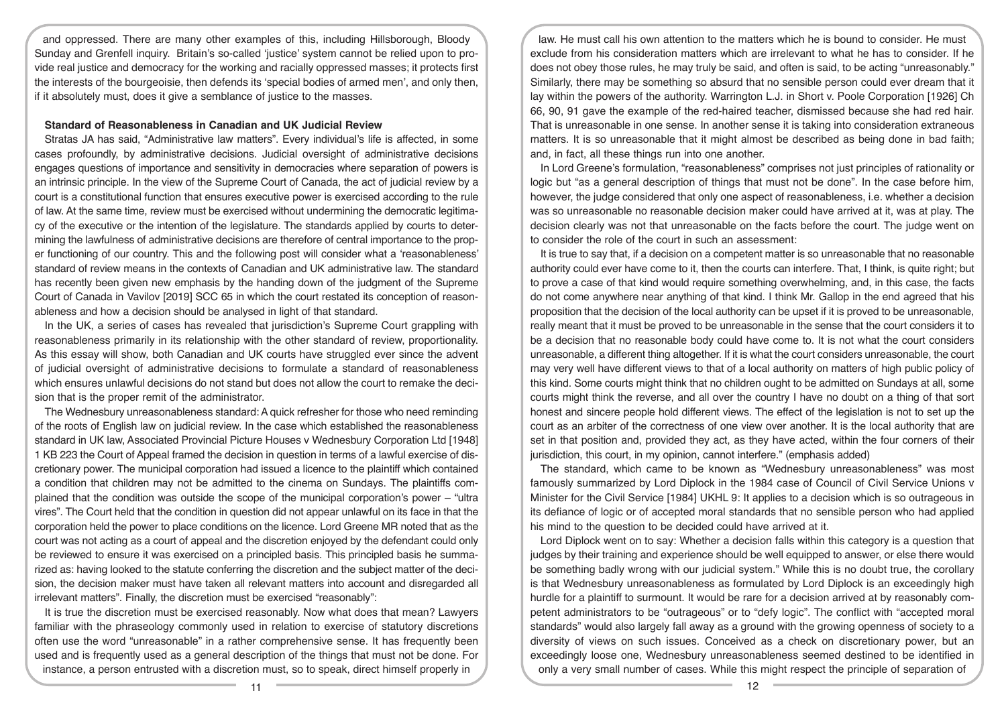and oppressed. There are many other examples of this, including Hillsborough, Bloody Sunday and Grenfell inquiry. Britain's so-called 'justice' system cannot be relied upon to provide real justice and democracy for the working and racially oppressed masses; it protects first the interests of the bourgeoisie, then defends its 'special bodies of armed men', and only then, if it absolutely must, does it give a semblance of justice to the masses.

#### **Standard of Reasonableness in Canadian and UK Judicial Review**

Stratas JA has said, "Administrative law matters". Every individual's life is affected, in some cases profoundly, by administrative decisions. Judicial oversight of administrative decisions engages questions of importance and sensitivity in democracies where separation of powers is an intrinsic principle. In the view of the Supreme Court of Canada, the act of judicial review by a court is a constitutional function that ensures executive power is exercised according to the rule of law. At the same time, review must be exercised without undermining the democratic legitimacy of the executive or the intention of the legislature. The standards applied by courts to determining the lawfulness of administrative decisions are therefore of central importance to the proper functioning of our country. This and the following post will consider what a 'reasonableness' standard of review means in the contexts of Canadian and UK administrative law. The standard has recently been given new emphasis by the handing down of the judgment of the Supreme Court of Canada in Vavilov [2019] SCC 65 in which the court restated its conception of reasonableness and how a decision should be analysed in light of that standard.

In the UK, a series of cases has revealed that jurisdiction's Supreme Court grappling with reasonableness primarily in its relationship with the other standard of review, proportionality. As this essay will show, both Canadian and UK courts have struggled ever since the advent of judicial oversight of administrative decisions to formulate a standard of reasonableness which ensures unlawful decisions do not stand but does not allow the court to remake the decision that is the proper remit of the administrator.

The Wednesbury unreasonableness standard: A quick refresher for those who need reminding of the roots of English law on judicial review. In the case which established the reasonableness standard in UK law, Associated Provincial Picture Houses v Wednesbury Corporation Ltd [1948] 1 KB 223 the Court of Appeal framed the decision in question in terms of a lawful exercise of discretionary power. The municipal corporation had issued a licence to the plaintiff which contained a condition that children may not be admitted to the cinema on Sundays. The plaintiffs complained that the condition was outside the scope of the municipal corporation's power – "ultra vires". The Court held that the condition in question did not appear unlawful on its face in that the corporation held the power to place conditions on the licence. Lord Greene MR noted that as the court was not acting as a court of appeal and the discretion enjoyed by the defendant could only be reviewed to ensure it was exercised on a principled basis. This principled basis he summarized as: having looked to the statute conferring the discretion and the subject matter of the decision, the decision maker must have taken all relevant matters into account and disregarded all irrelevant matters". Finally, the discretion must be exercised "reasonably":

It is true the discretion must be exercised reasonably. Now what does that mean? Lawyers familiar with the phraseology commonly used in relation to exercise of statutory discretions often use the word "unreasonable" in a rather comprehensive sense. It has frequently been used and is frequently used as a general description of the things that must not be done. For instance, a person entrusted with a discretion must, so to speak, direct himself properly in

law. He must call his own attention to the matters which he is bound to consider. He must exclude from his consideration matters which are irrelevant to what he has to consider. If he does not obey those rules, he may truly be said, and often is said, to be acting "unreasonably." Similarly, there may be something so absurd that no sensible person could ever dream that it lay within the powers of the authority. Warrington L.J. in Short v. Poole Corporation [1926] Ch 66, 90, 91 gave the example of the red-haired teacher, dismissed because she had red hair. That is unreasonable in one sense. In another sense it is taking into consideration extraneous matters. It is so unreasonable that it might almost be described as being done in bad faith; and, in fact, all these things run into one another.

In Lord Greene's formulation, "reasonableness" comprises not just principles of rationality or logic but "as a general description of things that must not be done". In the case before him, however, the judge considered that only one aspect of reasonableness, i.e. whether a decision was so unreasonable no reasonable decision maker could have arrived at it, was at play. The decision clearly was not that unreasonable on the facts before the court. The judge went on to consider the role of the court in such an assessment:

It is true to say that, if a decision on a competent matter is so unreasonable that no reasonable authority could ever have come to it, then the courts can interfere. That, I think, is quite right; but to prove a case of that kind would require something overwhelming, and, in this case, the facts do not come anywhere near anything of that kind. I think Mr. Gallop in the end agreed that his proposition that the decision of the local authority can be upset if it is proved to be unreasonable, really meant that it must be proved to be unreasonable in the sense that the court considers it to be a decision that no reasonable body could have come to. It is not what the court considers unreasonable, a different thing altogether. If it is what the court considers unreasonable, the court may very well have different views to that of a local authority on matters of high public policy of this kind. Some courts might think that no children ought to be admitted on Sundays at all, some courts might think the reverse, and all over the country I have no doubt on a thing of that sort honest and sincere people hold different views. The effect of the legislation is not to set up the court as an arbiter of the correctness of one view over another. It is the local authority that are set in that position and, provided they act, as they have acted, within the four corners of their jurisdiction, this court, in my opinion, cannot interfere." (emphasis added)

The standard, which came to be known as "Wednesbury unreasonableness" was most famously summarized by Lord Diplock in the 1984 case of Council of Civil Service Unions v Minister for the Civil Service [1984] UKHL 9: It applies to a decision which is so outrageous in its defiance of logic or of accepted moral standards that no sensible person who had applied his mind to the question to be decided could have arrived at it.

Lord Diplock went on to say: Whether a decision falls within this category is a question that judges by their training and experience should be well equipped to answer, or else there would be something badly wrong with our judicial system." While this is no doubt true, the corollary is that Wednesbury unreasonableness as formulated by Lord Diplock is an exceedingly high hurdle for a plaintiff to surmount. It would be rare for a decision arrived at by reasonably competent administrators to be "outrageous" or to "defy logic". The conflict with "accepted moral standards" would also largely fall away as a ground with the growing openness of society to a diversity of views on such issues. Conceived as a check on discretionary power, but an exceedingly loose one, Wednesbury unreasonableness seemed destined to be identified in only a very small number of cases. While this might respect the principle of separation of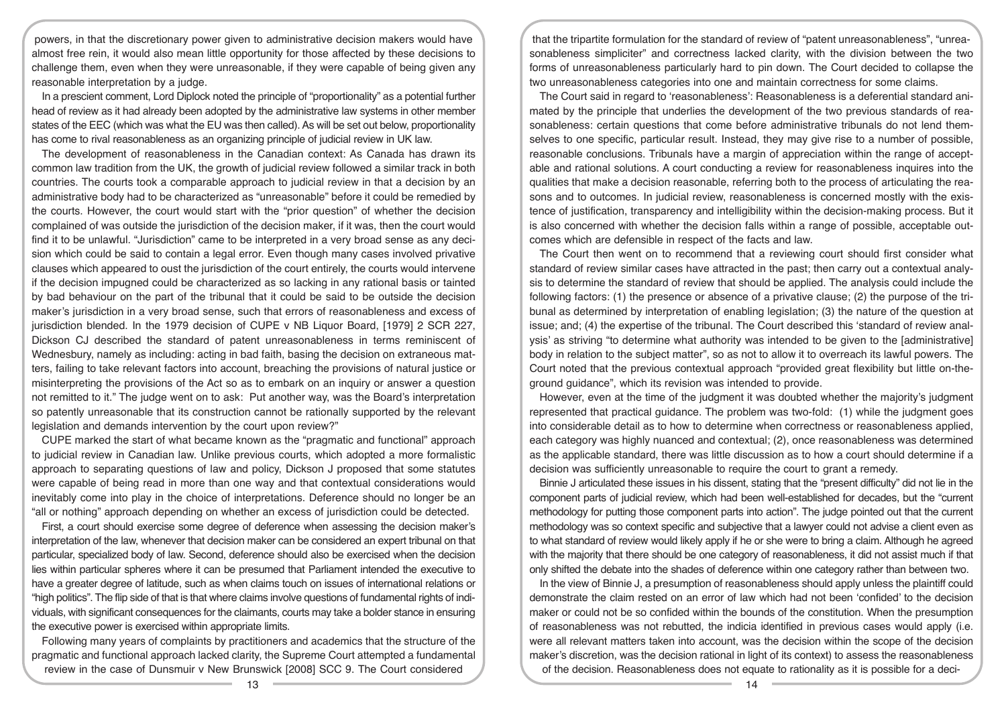powers, in that the discretionary power given to administrative decision makers would have almost free rein, it would also mean little opportunity for those affected by these decisions to challenge them, even when they were unreasonable, if they were capable of being given any reasonable interpretation by a judge.

In a prescient comment, Lord Diplock noted the principle of "proportionality" as a potential further head of review as it had already been adopted by the administrative law systems in other member states of the EEC (which was what the EU was then called). As will be set out below, proportionality has come to rival reasonableness as an organizing principle of judicial review in UK law.

The development of reasonableness in the Canadian context: As Canada has drawn its common law tradition from the UK, the growth of judicial review followed a similar track in both countries. The courts took a comparable approach to judicial review in that a decision by an administrative body had to be characterized as "unreasonable" before it could be remedied by the courts. However, the court would start with the "prior question" of whether the decision complained of was outside the jurisdiction of the decision maker, if it was, then the court would find it to be unlawful. "Jurisdiction" came to be interpreted in a very broad sense as any decision which could be said to contain a legal error. Even though many cases involved privative clauses which appeared to oust the jurisdiction of the court entirely, the courts would intervene if the decision impugned could be characterized as so lacking in any rational basis or tainted by bad behaviour on the part of the tribunal that it could be said to be outside the decision maker's jurisdiction in a very broad sense, such that errors of reasonableness and excess of jurisdiction blended. In the 1979 decision of CUPE v NB Liquor Board, [1979] 2 SCR 227, Dickson CJ described the standard of patent unreasonableness in terms reminiscent of Wednesbury, namely as including: acting in bad faith, basing the decision on extraneous matters, failing to take relevant factors into account, breaching the provisions of natural justice or misinterpreting the provisions of the Act so as to embark on an inquiry or answer a question not remitted to it." The judge went on to ask: Put another way, was the Board's interpretation so patently unreasonable that its construction cannot be rationally supported by the relevant legislation and demands intervention by the court upon review?"

CUPE marked the start of what became known as the "pragmatic and functional" approach to judicial review in Canadian law. Unlike previous courts, which adopted a more formalistic approach to separating questions of law and policy, Dickson J proposed that some statutes were capable of being read in more than one way and that contextual considerations would inevitably come into play in the choice of interpretations. Deference should no longer be an "all or nothing" approach depending on whether an excess of jurisdiction could be detected.

First, a court should exercise some degree of deference when assessing the decision maker's interpretation of the law, whenever that decision maker can be considered an expert tribunal on that particular, specialized body of law. Second, deference should also be exercised when the decision lies within particular spheres where it can be presumed that Parliament intended the executive to have a greater degree of latitude, such as when claims touch on issues of international relations or "high politics". The flip side of that is that where claims involve questions of fundamental rights of individuals, with significant consequences for the claimants, courts may take a bolder stance in ensuring the executive power is exercised within appropriate limits.

Following many years of complaints by practitioners and academics that the structure of the pragmatic and functional approach lacked clarity, the Supreme Court attempted a fundamental review in the case of Dunsmuir v New Brunswick [2008] SCC 9. The Court considered

that the tripartite formulation for the standard of review of "patent unreasonableness", "unreasonableness simpliciter" and correctness lacked clarity, with the division between the two forms of unreasonableness particularly hard to pin down. The Court decided to collapse the two unreasonableness categories into one and maintain correctness for some claims.

The Court said in regard to 'reasonableness': Reasonableness is a deferential standard animated by the principle that underlies the development of the two previous standards of reasonableness: certain questions that come before administrative tribunals do not lend themselves to one specific, particular result. Instead, they may give rise to a number of possible, reasonable conclusions. Tribunals have a margin of appreciation within the range of acceptable and rational solutions. A court conducting a review for reasonableness inquires into the qualities that make a decision reasonable, referring both to the process of articulating the reasons and to outcomes. In judicial review, reasonableness is concerned mostly with the existence of justification, transparency and intelligibility within the decision-making process. But it is also concerned with whether the decision falls within a range of possible, acceptable outcomes which are defensible in respect of the facts and law.

The Court then went on to recommend that a reviewing court should first consider what standard of review similar cases have attracted in the past; then carry out a contextual analysis to determine the standard of review that should be applied. The analysis could include the following factors: (1) the presence or absence of a privative clause; (2) the purpose of the tribunal as determined by interpretation of enabling legislation; (3) the nature of the question at issue; and; (4) the expertise of the tribunal. The Court described this 'standard of review analysis' as striving "to determine what authority was intended to be given to the [administrative] body in relation to the subject matter", so as not to allow it to overreach its lawful powers. The Court noted that the previous contextual approach "provided great flexibility but little on-theground guidance", which its revision was intended to provide.

However, even at the time of the judgment it was doubted whether the majority's judgment represented that practical guidance. The problem was two-fold: (1) while the judgment goes into considerable detail as to how to determine when correctness or reasonableness applied, each category was highly nuanced and contextual; (2), once reasonableness was determined as the applicable standard, there was little discussion as to how a court should determine if a decision was sufficiently unreasonable to require the court to grant a remedy.

Binnie J articulated these issues in his dissent, stating that the "present difficulty" did not lie in the component parts of judicial review, which had been well-established for decades, but the "current methodology for putting those component parts into action". The judge pointed out that the current methodology was so context specific and subjective that a lawyer could not advise a client even as to what standard of review would likely apply if he or she were to bring a claim. Although he agreed with the majority that there should be one category of reasonableness, it did not assist much if that only shifted the debate into the shades of deference within one category rather than between two.

In the view of Binnie J, a presumption of reasonableness should apply unless the plaintiff could demonstrate the claim rested on an error of law which had not been 'confided' to the decision maker or could not be so confided within the bounds of the constitution. When the presumption of reasonableness was not rebutted, the indicia identified in previous cases would apply (i.e. were all relevant matters taken into account, was the decision within the scope of the decision maker's discretion, was the decision rational in light of its context) to assess the reasonableness of the decision. Reasonableness does not equate to rationality as it is possible for a deci-